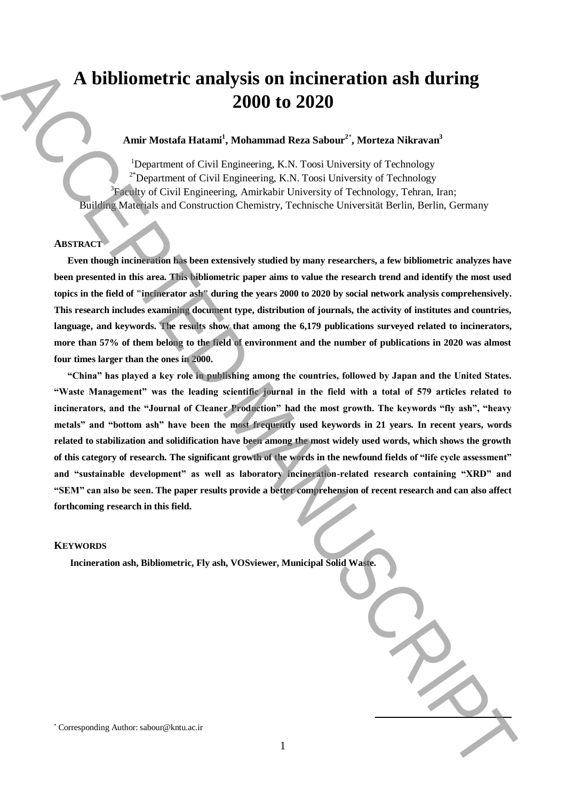# **A bibliometric analysis on incineration ash during 2000 to 2020**

# **Amir Mostafa Hatami<sup>1</sup> , Mohammad Reza Sabour<sup>2</sup>**\* **, Morteza Nikravan<sup>3</sup>**

<sup>1</sup>Department of Civil Engineering, K.N. Toosi University of Technology 2\*Department of Civil Engineering, K.N. Toosi University of Technology  ${}^{3}$ Faculty of Civil Engineering, Amirkabir University of Technology, Tehran, Iran; Building Materials and Construction Chemistry, Technische Universität Berlin, Berlin, Germany

# **ABSTRACT**

**Even though incineration has been extensively studied by many researchers, a few bibliometric analyzes have been presented in this area. This bibliometric paper aims to value the research trend and identify the most used topics in the field of "incinerator ash" during the years 2000 to 2020 by social network analysis comprehensively. This research includes examining document type, distribution of journals, the activity of institutes and countries, language, and keywords. The results show that among the 6,179 publications surveyed related to incinerators, more than 57% of them belong to the field of environment and the number of publications in 2020 was almost four times larger than the ones in 2000.** 

**"China" has played a key role in publishing among the countries, followed by Japan and the United States. "Waste Management" was the leading scientific journal in the field with a total of 579 articles related to incinerators, and the "Journal of Cleaner Production" had the most growth. The keywords "fly ash", "heavy metals" and "bottom ash" have been the most frequently used keywords in 21 years. In recent years, words related to stabilization and solidification have been among the most widely used words, which shows the growth of this category of research. The significant growth of the words in the newfound fields of "life cycle assessment" and "sustainable development" as well as laboratory incineration-related research containing "XRD" and "SEM" can also be seen. The paper results provide a better comprehension of recent research and can also affect forthcoming research in this field. A** bibliometric analysis on incineration ash during<br>2000 to 2020<br>
tami-Monta Bianar, Mohammad Rea Sabour", Monten Nehman'<br>
tami-Monta Coul Lagnesian EA, Final interase of Earlowing and the sabour of Earlowing and the Cou

## **KEYWORDS**

**Incineration ash, Bibliometric, Fly ash, VOSviewer, Municipal Solid Waste.**

**.**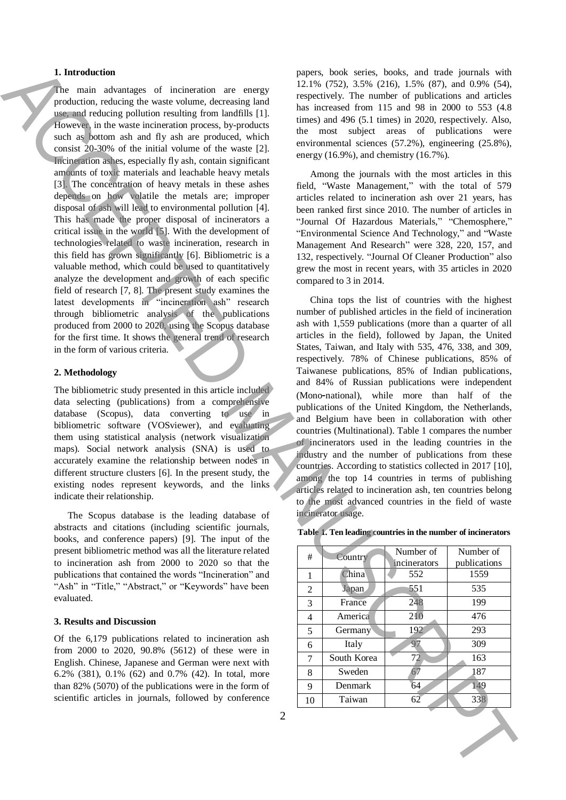## **1. Introduction**

The main advantages of incineration are energy production, reducing the waste volume, decreasing land use, and reducing pollution resulting from landfills [1]. However, in the waste incineration process, by-products such as bottom ash and fly ash are produced, which consist 20-30% of the initial volume of the waste [2]. Incineration ashes, especially fly ash, contain significant amounts of toxic materials and leachable heavy metals [3]. The concentration of heavy metals in these ashes depends on how volatile the metals are; improper disposal of ash will lead to environmental pollution [4]. This has made the proper disposal of incinerators a critical issue in the world [5]. With the development of technologies related to waste incineration, research in this field has grown significantly [6]. Bibliometric is a valuable method, which could be used to quantitatively analyze the development and growth of each specific field of research [7, 8]. The present study examines the latest developments in "incineration ash" research through bibliometric analysis of the publications produced from 2000 to 2020, using the Scopus database for the first time. It shows the general trend of research in the form of various criteria. 1. Interesting detection are compared by the set of social scenarios of the set of social scenarios of the set of social scenarios of the set of the set of the set of the set of the set of the set of the set of the set of

#### **2. Methodology**

The bibliometric study presented in this article included data selecting (publications) from a comprehensive database (Scopus), data converting to use in bibliometric software (VOSviewer), and evaluating them using statistical analysis (network visualization maps). Social network analysis (SNA) is used to accurately examine the relationship between nodes in different structure clusters [6]. In the present study, the existing nodes represent keywords, and the links indicate their relationship.

The Scopus database is the leading database of abstracts and citations (including scientific journals, books, and conference papers) [9]. The input of the present bibliometric method was all the literature related to incineration ash from 2000 to 2020 so that the publications that contained the words "Incineration" and "Ash" in "Title," "Abstract," or "Keywords" have been evaluated.

#### **3. Results and Discussion**

Of the 6,179 publications related to incineration ash from 2000 to 2020, 90.8% (5612) of these were in English. Chinese, Japanese and German were next with 6.2% (381), 0.1% (62) and 0.7% (42). In total, more than 82% (5070) of the publications were in the form of scientific articles in journals, followed by conference

papers, book series, books, and trade journals with 12.1% (752), 3.5% (216), 1.5% (87), and 0.9% (54), respectively. The number of publications and articles has increased from 115 and 98 in 2000 to 553 (4.8 times) and 496 (5.1 times) in 2020, respectively. Also, the most subject areas of publications were environmental sciences (57.2%), engineering (25.8%), energy (16.9%), and chemistry (16.7%).

Among the journals with the most articles in this field, "Waste Management," with the total of 579 articles related to incineration ash over 21 years, has been ranked first since 2010. The number of articles in "Journal Of Hazardous Materials," "Chemosphere," "Environmental Science And Technology," and "Waste Management And Research" were 328, 220, 157, and 132, respectively. "Journal Of Cleaner Production" also grew the most in recent years, with 35 articles in 2020 compared to 3 in 2014.

China tops the list of countries with the highest number of published articles in the field of incineration ash with 1,559 publications (more than a quarter of all articles in the field), followed by Japan, the United States, Taiwan, and Italy with 535, 476, 338, and 309, respectively. 78% of Chinese publications, 85% of Taiwanese publications, 85% of Indian publications, and 84% of Russian publications were independent (Mono-national), while more than half of the publications of the United Kingdom, the Netherlands, and Belgium have been in collaboration with other countries (Multinational). Table 1 compares the number of incinerators used in the leading countries in the industry and the number of publications from these countries. According to statistics collected in 2017 [10], among the top 14 countries in terms of publishing articles related to incineration ash, ten countries belong to the most advanced countries in the field of waste incinerator usage.

| #  | Country              | Number of<br>incinerators | Number of<br>publications |
|----|----------------------|---------------------------|---------------------------|
| 1  | China                | 552                       | 1559                      |
| 2  | <b>Japan</b>         | 551                       | 535                       |
| 3  | France               | 248                       | 199                       |
| 4  | America              | 210                       | 476                       |
| 5  | Germany <sup>®</sup> | 192                       | 293                       |
| 6  | Italy                | 97                        | 309                       |
| 7  | South Korea          | 72                        | 163                       |
| 8  | Sweden               | 67                        | 187                       |
| 9  | Denmark              | 64                        | 149                       |
| 10 | Taiwan               | 62                        | 338                       |